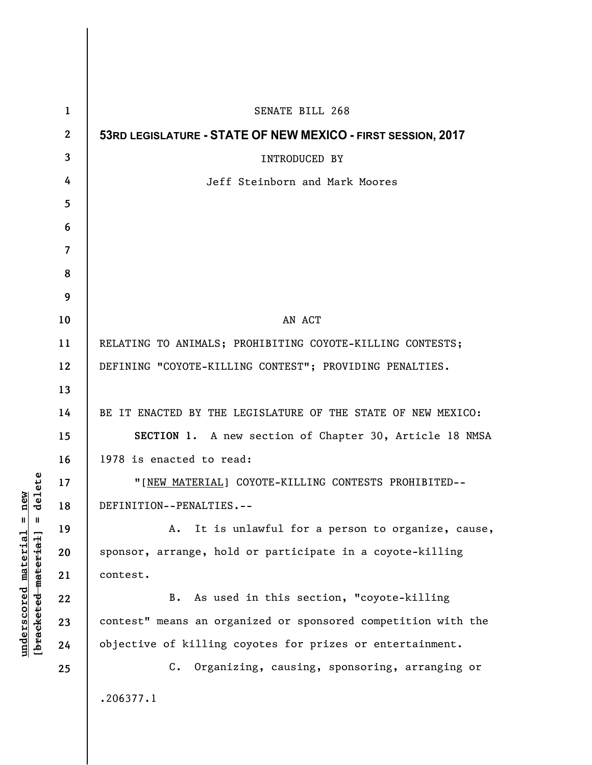| $\mathbf{1}$     | SENATE BILL 268                                               |
|------------------|---------------------------------------------------------------|
| $\boldsymbol{2}$ | 53RD LEGISLATURE - STATE OF NEW MEXICO - FIRST SESSION, 2017  |
| 3                | <b>INTRODUCED BY</b>                                          |
| 4                | Jeff Steinborn and Mark Moores                                |
| 5                |                                                               |
| 6                |                                                               |
| 7                |                                                               |
| 8                |                                                               |
| 9                |                                                               |
| 10               | AN ACT                                                        |
| 11               | RELATING TO ANIMALS; PROHIBITING COYOTE-KILLING CONTESTS;     |
| 12               | DEFINING "COYOTE-KILLING CONTEST"; PROVIDING PENALTIES.       |
| 13               |                                                               |
| 14               | BE IT ENACTED BY THE LEGISLATURE OF THE STATE OF NEW MEXICO:  |
| 15               | SECTION 1. A new section of Chapter 30, Article 18 NMSA       |
| 16               | 1978 is enacted to read:                                      |
| 17               | "[NEW MATERIAL] COYOTE-KILLING CONTESTS PROHIBITED--          |
| 18               | DEFINITION--PENALTIES.--                                      |
| 19               | A. It is unlawful for a person to organize, cause,            |
| 20               | sponsor, arrange, hold or participate in a coyote-killing     |
| 21               | contest.                                                      |
| 22               | As used in this section, "coyote-killing<br>B.                |
| 23               | contest" means an organized or sponsored competition with the |
| 24               | objective of killing coyotes for prizes or entertainment.     |
| 25               | C. Organizing, causing, sponsoring, arranging or              |
|                  | .206377.1                                                     |
|                  |                                                               |

 $[bracketeed-materiat] = delete$ **[bracketed material] = delete**  $underscored material = new$ **underscored material = new**

 $\overline{\phantom{a}}$